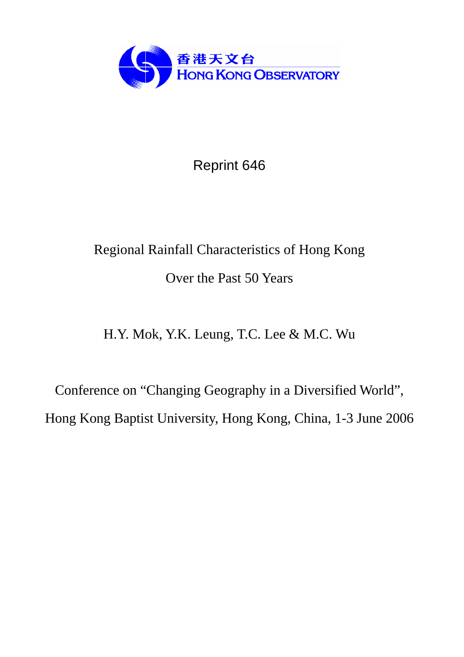

Reprint 646

# Regional Rainfall Characteristics of Hong Kong Over the Past 50 Years

# H.Y. Mok, Y.K. Leung, T.C. Lee & M.C. Wu

Conference on "Changing Geography in a Diversified World", Hong Kong Baptist University, Hong Kong, China, 1-3 June 2006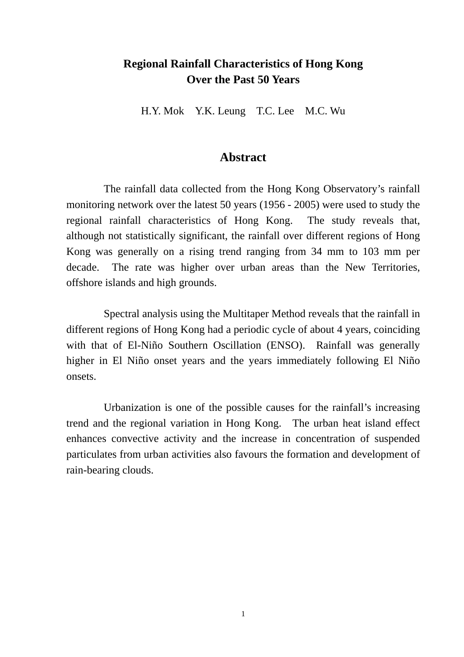# **Regional Rainfall Characteristics of Hong Kong Over the Past 50 Years**

H.Y. Mok Y.K. Leung T.C. Lee M.C. Wu

## **Abstract**

 The rainfall data collected from the Hong Kong Observatory's rainfall monitoring network over the latest 50 years (1956 - 2005) were used to study the regional rainfall characteristics of Hong Kong. The study reveals that, although not statistically significant, the rainfall over different regions of Hong Kong was generally on a rising trend ranging from 34 mm to 103 mm per decade. The rate was higher over urban areas than the New Territories, offshore islands and high grounds.

 Spectral analysis using the Multitaper Method reveals that the rainfall in different regions of Hong Kong had a periodic cycle of about 4 years, coinciding with that of El-Niño Southern Oscillation (ENSO). Rainfall was generally higher in El Niño onset years and the years immediately following El Niño onsets.

 Urbanization is one of the possible causes for the rainfall's increasing trend and the regional variation in Hong Kong. The urban heat island effect enhances convective activity and the increase in concentration of suspended particulates from urban activities also favours the formation and development of rain-bearing clouds.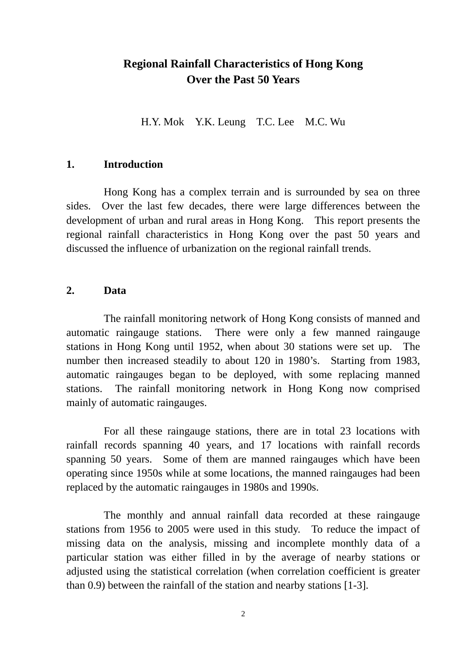# **Regional Rainfall Characteristics of Hong Kong Over the Past 50 Years**

H.Y. Mok Y.K. Leung T.C. Lee M.C. Wu

### **1. Introduction**

 Hong Kong has a complex terrain and is surrounded by sea on three sides. Over the last few decades, there were large differences between the development of urban and rural areas in Hong Kong. This report presents the regional rainfall characteristics in Hong Kong over the past 50 years and discussed the influence of urbanization on the regional rainfall trends.

### **2. Data**

 The rainfall monitoring network of Hong Kong consists of manned and automatic raingauge stations. There were only a few manned raingauge stations in Hong Kong until 1952, when about 30 stations were set up. The number then increased steadily to about 120 in 1980's. Starting from 1983, automatic raingauges began to be deployed, with some replacing manned stations. The rainfall monitoring network in Hong Kong now comprised mainly of automatic raingauges.

 For all these raingauge stations, there are in total 23 locations with rainfall records spanning 40 years, and 17 locations with rainfall records spanning 50 years. Some of them are manned raingauges which have been operating since 1950s while at some locations, the manned raingauges had been replaced by the automatic raingauges in 1980s and 1990s.

 The monthly and annual rainfall data recorded at these raingauge stations from 1956 to 2005 were used in this study. To reduce the impact of missing data on the analysis, missing and incomplete monthly data of a particular station was either filled in by the average of nearby stations or adjusted using the statistical correlation (when correlation coefficient is greater than 0.9) between the rainfall of the station and nearby stations [1-3].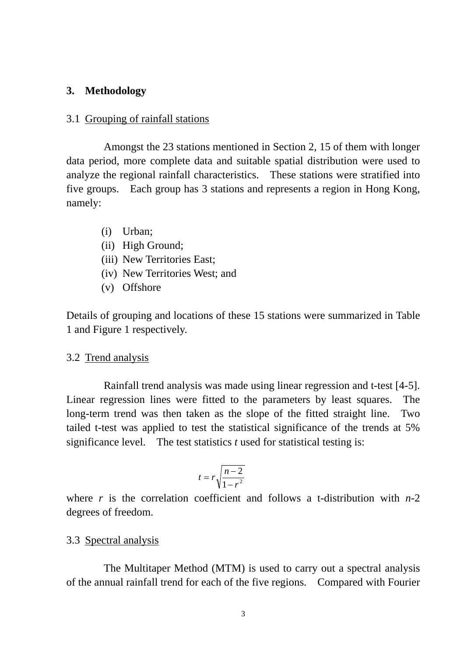#### **3. Methodology**

#### 3.1 Grouping of rainfall stations

 Amongst the 23 stations mentioned in Section 2, 15 of them with longer data period, more complete data and suitable spatial distribution were used to analyze the regional rainfall characteristics. These stations were stratified into five groups. Each group has 3 stations and represents a region in Hong Kong, namely:

- (i) Urban;
- (ii) High Ground;
- (iii) New Territories East;
- (iv) New Territories West; and
- (v) Offshore

Details of grouping and locations of these 15 stations were summarized in Table 1 and Figure 1 respectively.

#### 3.2 Trend analysis

 Rainfall trend analysis was made using linear regression and t-test [4-5]. Linear regression lines were fitted to the parameters by least squares. The long-term trend was then taken as the slope of the fitted straight line. Two tailed t-test was applied to test the statistical significance of the trends at 5% significance level. The test statistics  $t$  used for statistical testing is:

$$
t = r \sqrt{\frac{n-2}{1-r^2}}
$$

where  $r$  is the correlation coefficient and follows a t-distribution with  $n-2$ degrees of freedom.

#### 3.3 Spectral analysis

 The Multitaper Method (MTM) is used to carry out a spectral analysis of the annual rainfall trend for each of the five regions. Compared with Fourier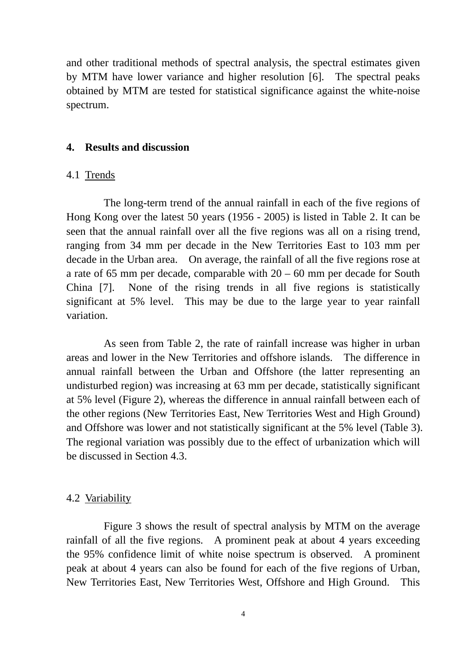and other traditional methods of spectral analysis, the spectral estimates given by MTM have lower variance and higher resolution [6]. The spectral peaks obtained by MTM are tested for statistical significance against the white-noise spectrum.

#### **4. Results and discussion**

#### 4.1 Trends

 The long-term trend of the annual rainfall in each of the five regions of Hong Kong over the latest 50 years (1956 - 2005) is listed in Table 2. It can be seen that the annual rainfall over all the five regions was all on a rising trend, ranging from 34 mm per decade in the New Territories East to 103 mm per decade in the Urban area. On average, the rainfall of all the five regions rose at a rate of 65 mm per decade, comparable with  $20 - 60$  mm per decade for South China [7]. None of the rising trends in all five regions is statistically significant at 5% level. This may be due to the large year to year rainfall variation.

 As seen from Table 2, the rate of rainfall increase was higher in urban areas and lower in the New Territories and offshore islands. The difference in annual rainfall between the Urban and Offshore (the latter representing an undisturbed region) was increasing at 63 mm per decade, statistically significant at 5% level (Figure 2), whereas the difference in annual rainfall between each of the other regions (New Territories East, New Territories West and High Ground) and Offshore was lower and not statistically significant at the 5% level (Table 3). The regional variation was possibly due to the effect of urbanization which will be discussed in Section 4.3.

#### 4.2 Variability

 Figure 3 shows the result of spectral analysis by MTM on the average rainfall of all the five regions. A prominent peak at about 4 years exceeding the 95% confidence limit of white noise spectrum is observed. A prominent peak at about 4 years can also be found for each of the five regions of Urban, New Territories East, New Territories West, Offshore and High Ground. This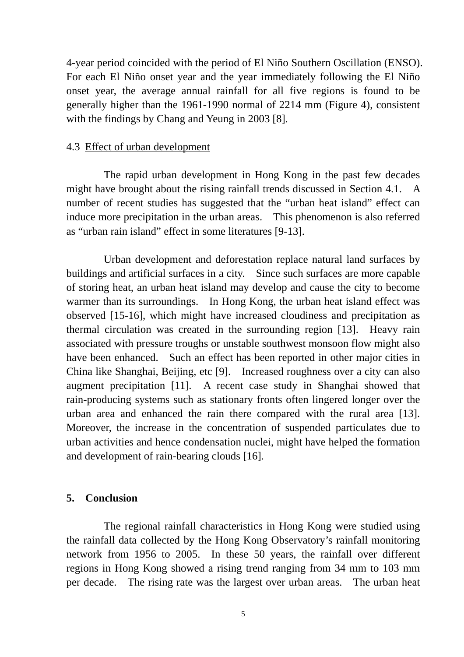4-year period coincided with the period of El Niño Southern Oscillation (ENSO). For each El Niño onset year and the year immediately following the El Niño onset year, the average annual rainfall for all five regions is found to be generally higher than the 1961-1990 normal of 2214 mm (Figure 4), consistent with the findings by Chang and Yeung in 2003 [8].

#### 4.3 Effect of urban development

The rapid urban development in Hong Kong in the past few decades might have brought about the rising rainfall trends discussed in Section 4.1. A number of recent studies has suggested that the "urban heat island" effect can induce more precipitation in the urban areas. This phenomenon is also referred as "urban rain island" effect in some literatures [9-13].

 Urban development and deforestation replace natural land surfaces by buildings and artificial surfaces in a city. Since such surfaces are more capable of storing heat, an urban heat island may develop and cause the city to become warmer than its surroundings. In Hong Kong, the urban heat island effect was observed [15-16], which might have increased cloudiness and precipitation as thermal circulation was created in the surrounding region [13]. Heavy rain associated with pressure troughs or unstable southwest monsoon flow might also have been enhanced. Such an effect has been reported in other major cities in China like Shanghai, Beijing, etc [9]. Increased roughness over a city can also augment precipitation [11]. A recent case study in Shanghai showed that rain-producing systems such as stationary fronts often lingered longer over the urban area and enhanced the rain there compared with the rural area [13]. Moreover, the increase in the concentration of suspended particulates due to urban activities and hence condensation nuclei, might have helped the formation and development of rain-bearing clouds [16].

#### **5. Conclusion**

 The regional rainfall characteristics in Hong Kong were studied using the rainfall data collected by the Hong Kong Observatory's rainfall monitoring network from 1956 to 2005. In these 50 years, the rainfall over different regions in Hong Kong showed a rising trend ranging from 34 mm to 103 mm per decade. The rising rate was the largest over urban areas. The urban heat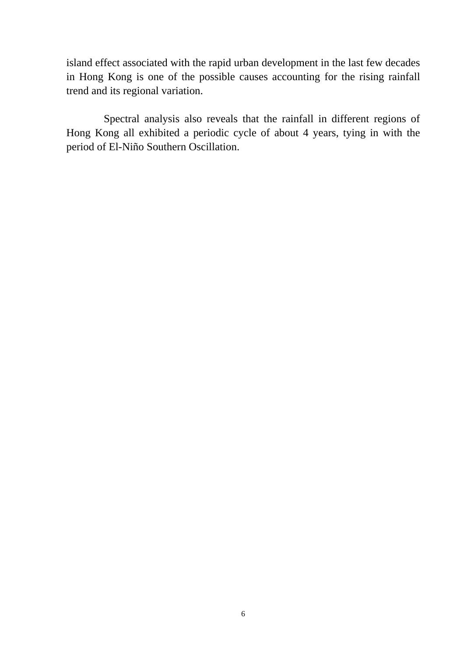island effect associated with the rapid urban development in the last few decades in Hong Kong is one of the possible causes accounting for the rising rainfall trend and its regional variation.

 Spectral analysis also reveals that the rainfall in different regions of Hong Kong all exhibited a periodic cycle of about 4 years, tying in with the period of El-Niño Southern Oscillation.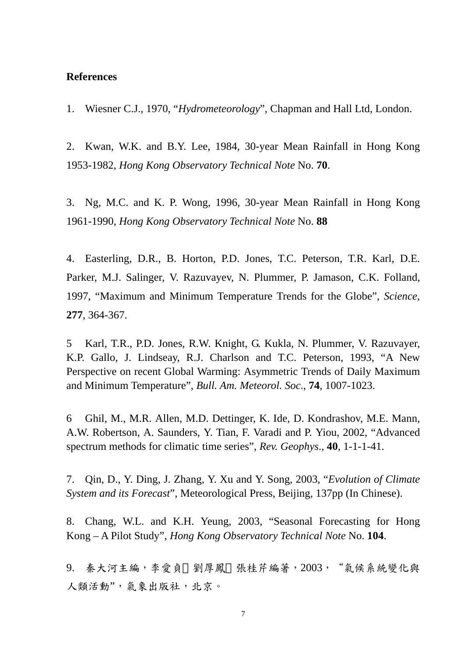#### **References**

1. Wiesner C.J., 1970, "*Hydrometeorology*", Chapman and Hall Ltd, London.

2. Kwan, W.K. and B.Y. Lee, 1984, 30-year Mean Rainfall in Hong Kong 1953-1982, *Hong Kong Observatory Technical Note* No. **70**.

3. Ng, M.C. and K. P. Wong, 1996, 30-year Mean Rainfall in Hong Kong 1961-1990, *Hong Kong Observatory Technical Note* No. **88**

4. Easterling, D.R., B. Horton, P.D. Jones, T.C. Peterson, T.R. Karl, D.E. Parker, M.J. Salinger, V. Razuvayev, N. Plummer, P. Jamason, C.K. Folland, 1997, "Maximum and Minimum Temperature Trends for the Globe", *Science*, **277**, 364-367.

5 Karl, T.R., P.D. Jones, R.W. Knight, G. Kukla, N. Plummer, V. Razuvayer, K.P. Gallo, J. Lindseay, R.J. Charlson and T.C. Peterson, 1993, "A New Perspective on recent Global Warming: Asymmetric Trends of Daily Maximum and Minimum Temperature", *Bull. Am. Meteorol. Soc*., **74**, 1007-1023.

6 Ghil, M., M.R. Allen, M.D. Dettinger, K. Ide, D. Kondrashov, M.E. Mann, A.W. Robertson, A. Saunders, Y. Tian, F. Varadi and P. Yiou, 2002, "Advanced spectrum methods for climatic time series", *Rev. Geophys*., **40**, 1-1-1-41.

7. Qin, D., Y. Ding, J. Zhang, Y. Xu and Y. Song, 2003, "*Evolution of Climate System and its Forecast*", Meteorological Press, Beijing, 137pp (In Chinese).

8. Chang, W.L. and K.H. Yeung, 2003, "Seasonal Forecasting for Hong Kong – A Pilot Study", *Hong Kong Observatory Technical Note* No. **104**.

9. 秦大河主編,李愛貞 劉厚鳳 張桂芹編著,2003, "氣候系統變化與 人類活動",氣象出版社,北京。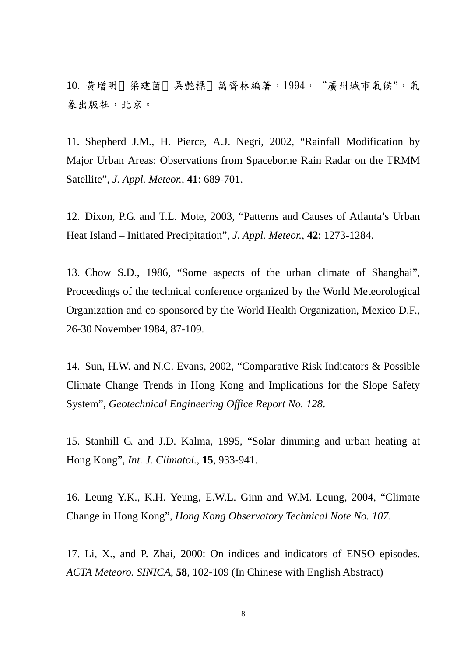10. 黃增明 梁建茵 吳艷標 萬齊林編著,1994, "廣州城市氣候",氣 象出版社,北京。

11. Shepherd J.M., H. Pierce, A.J. Negri, 2002, "Rainfall Modification by Major Urban Areas: Observations from Spaceborne Rain Radar on the TRMM Satellite", *J. Appl. Meteor.*, **41**: 689-701.

12. Dixon, P.G. and T.L. Mote, 2003, "Patterns and Causes of Atlanta's Urban Heat Island – Initiated Precipitation", *J. Appl. Meteor.*, **42**: 1273-1284.

13. Chow S.D., 1986, "Some aspects of the urban climate of Shanghai", Proceedings of the technical conference organized by the World Meteorological Organization and co-sponsored by the World Health Organization, Mexico D.F., 26-30 November 1984, 87-109.

14. Sun, H.W. and N.C. Evans, 2002, "Comparative Risk Indicators & Possible Climate Change Trends in Hong Kong and Implications for the Slope Safety System", *Geotechnical Engineering Office Report No. 128*.

15. Stanhill G. and J.D. Kalma, 1995, "Solar dimming and urban heating at Hong Kong", *Int. J. Climatol.*, **15**, 933-941.

16. Leung Y.K., K.H. Yeung, E.W.L. Ginn and W.M. Leung, 2004, "Climate Change in Hong Kong", *Hong Kong Observatory Technical Note No. 107*.

17. Li, X., and P. Zhai, 2000: On indices and indicators of ENSO episodes. *ACTA Meteoro. SINICA*, **58**, 102-109 (In Chinese with English Abstract)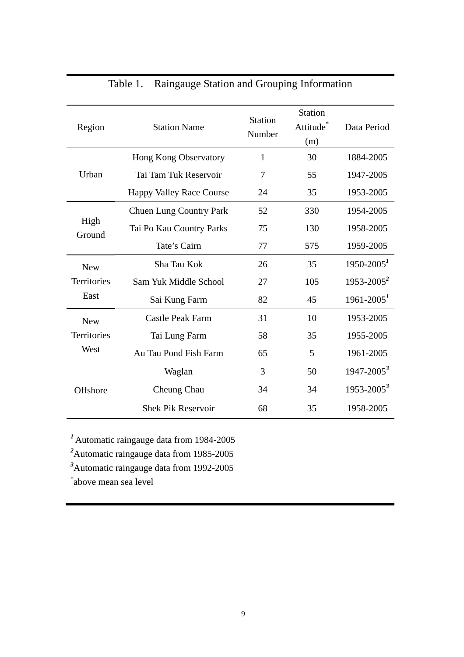| Region                                   | <b>Station Name</b>             | <b>Station</b><br>Number | <b>Station</b><br>Attitude <sup>®</sup><br>(m) | Data Period     |
|------------------------------------------|---------------------------------|--------------------------|------------------------------------------------|-----------------|
| Urban                                    | Hong Kong Observatory           | $\mathbf{1}$             | 30                                             | 1884-2005       |
|                                          | Tai Tam Tuk Reservoir           | 7                        | 55                                             | 1947-2005       |
|                                          | <b>Happy Valley Race Course</b> | 24                       | 35                                             | 1953-2005       |
| High<br>Ground                           | <b>Chuen Lung Country Park</b>  | 52                       | 330                                            | 1954-2005       |
|                                          | Tai Po Kau Country Parks        | 75                       | 130                                            | 1958-2005       |
|                                          | Tate's Cairn                    | 77                       | 575                                            | 1959-2005       |
| <b>New</b><br><b>Territories</b><br>East | Sha Tau Kok                     | 26                       | 35                                             | $1950 - 2005$   |
|                                          | Sam Yuk Middle School           | 27                       | 105                                            | $1953 - 2005^2$ |
|                                          | Sai Kung Farm                   | 82                       | 45                                             | $1961 - 2005$   |
| <b>New</b><br><b>Territories</b><br>West | <b>Castle Peak Farm</b>         | 31                       | 10                                             | 1953-2005       |
|                                          | Tai Lung Farm                   | 58                       | 35                                             | 1955-2005       |
|                                          | Au Tau Pond Fish Farm           | 65                       | 5                                              | 1961-2005       |
| Offshore                                 | Waglan                          | 3                        | 50                                             | $1947 - 2005^3$ |
|                                          | Cheung Chau                     | 34                       | 34                                             | $1953 - 2005^3$ |
|                                          | <b>Shek Pik Reservoir</b>       | 68                       | 35                                             | 1958-2005       |

# Table 1. Raingauge Station and Grouping Information

*<sup>1</sup>*Automatic raingauge data from 1984-2005

*2* Automatic raingauge data from 1985-2005

*3* Automatic raingauge data from 1992-2005

\* above mean sea level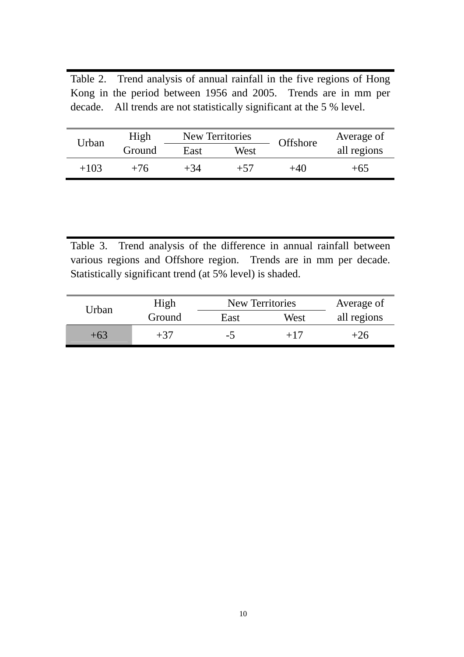Table 2. Trend analysis of annual rainfall in the five regions of Hong Kong in the period between 1956 and 2005. Trends are in mm per decade. All trends are not statistically significant at the 5 % level.

| Urban  | High   | New Territories |       | Offshore | Average of  |
|--------|--------|-----------------|-------|----------|-------------|
|        | Ground | East            | West  |          | all regions |
| $+103$ | $+76$  | +34             | $+57$ | $-40$    | $+65$       |

Table 3. Trend analysis of the difference in annual rainfall between various regions and Offshore region. Trends are in mm per decade. Statistically significant trend (at 5% level) is shaded.

| Urban | High   | New Territories |       | Average of  |
|-------|--------|-----------------|-------|-------------|
|       | Ground | East            | West  | all regions |
| $+63$ | +37    | $-$             | $+17$ |             |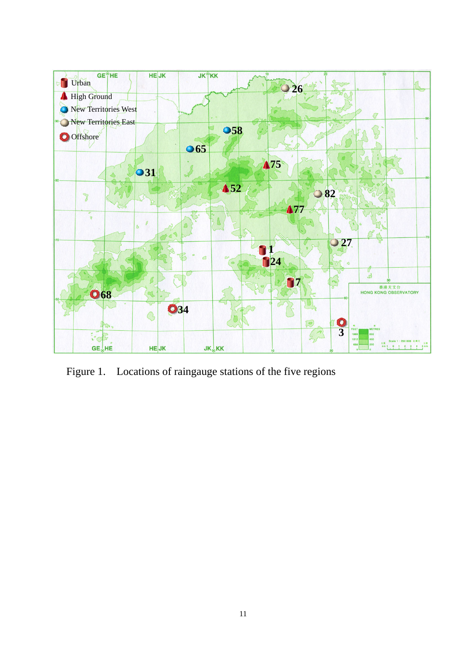

Figure 1. Locations of raingauge stations of the five regions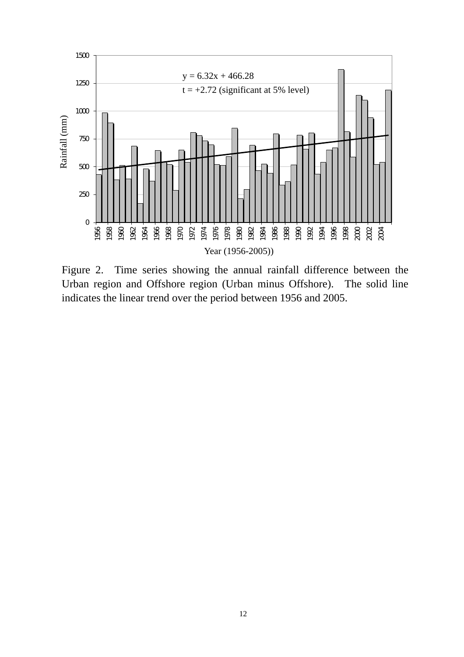

Figure 2. Time series showing the annual rainfall difference between the Urban region and Offshore region (Urban minus Offshore). The solid line indicates the linear trend over the period between 1956 and 2005.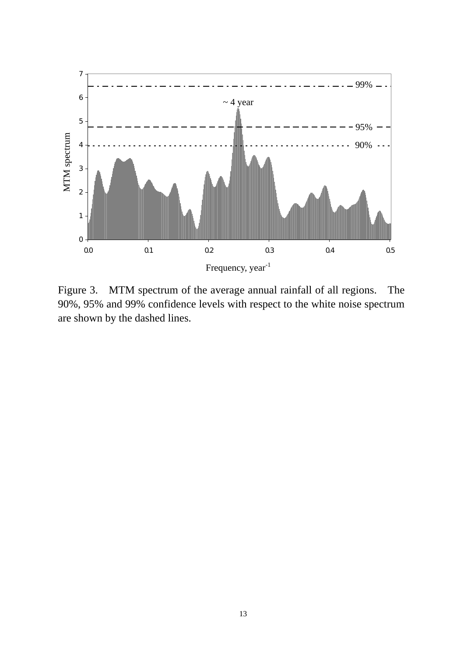

Figure 3. MTM spectrum of the average annual rainfall of all regions. The 90%, 95% and 99% confidence levels with respect to the white noise spectrum are shown by the dashed lines.